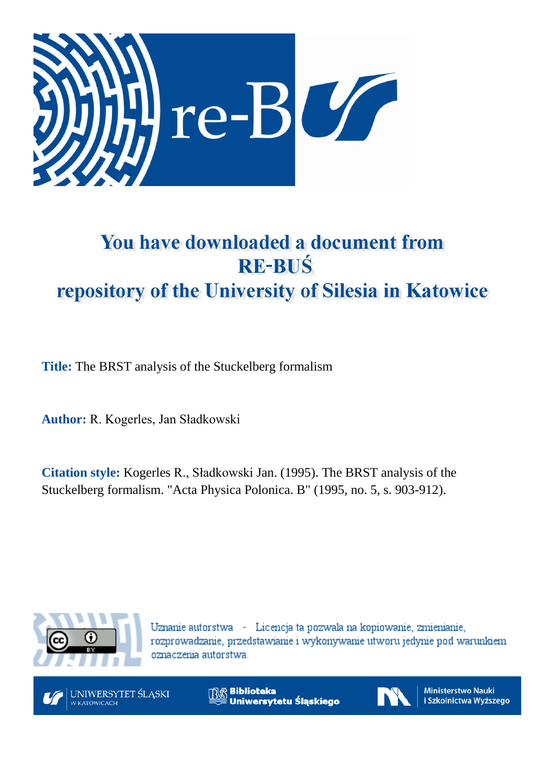

# You have downloaded a document from **RE-BUŚ** repository of the University of Silesia in Katowice

**Title:** The BRST analysis of the Stuckelberg formalism

**Author:** R. Kogerles, Jan Sładkowski

**Citation style:** Kogerles R., Sładkowski Jan. (1995). The BRST analysis of the Stuckelberg formalism. "Acta Physica Polonica. B" (1995, no. 5, s. 903-912).



Uznanie autorstwa - Licencja ta pozwala na kopiowanie, zmienianie, rozprowadzanie, przedstawianie i wykonywanie utworu jedynie pod warunkiem oznaczenia autorstwa.



UNIWERSYTET ŚLĄSKI **W KATOWICACH** 

**Biblioteka** Uniwersytetu Śląskiego



**Ministerstwo Nauki** i Szkolnictwa Wyższego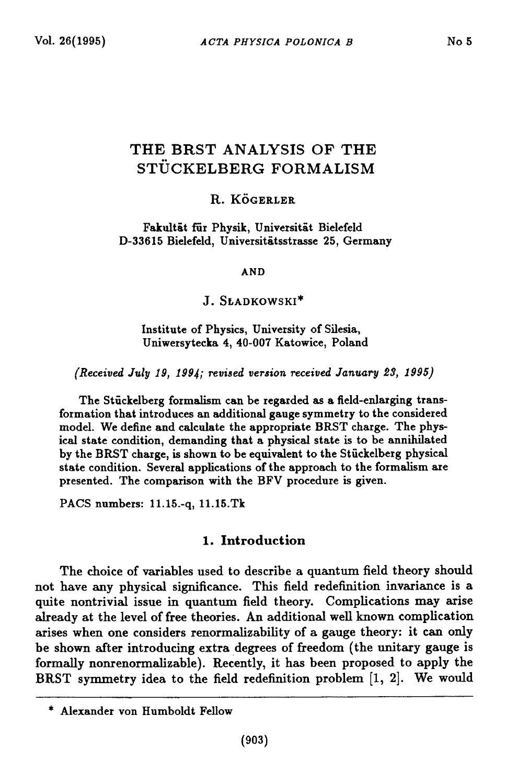## **THE BRST ANALYSIS OF THE ST Ü CKELBERG FORMALISM**

### **R . KÖGERLER**

**Fakultät für Physik, Universität Bielefeld D-33615 Bielefeld, Universitätsstrasse 25, Germany**

**AND**

**J. S ła d k o w s k i\***

**Institute of Physics, University of Silesia, Uniwersytecka 4, 40-007 Katowice, Poland**

*(Received July 19, 1994; revised version received January 23, 1995)*

**The Stückelberg formalism can be regarded as a field-enlarging transformation that introduces an additional gauge symmetry to the considered model. We define and calculate the appropriate BRST charge. The physical state condition, demanding that a physical state is to be annihilated by the BRST charge, is shown to be equivalent to the Stückelberg physical state condition. Several applications of the approach to the formalism are presented. The comparison with the BFV procedure is given.**

**PACS numbers: 11.15.-q, 11.15.Tk**

## 1. Introduction

**The choice of variables used to describe a quantum field theory should not have any physical significance. This field redefinition invariance is a quite nontrivial issue in quantum field theory. Complications may arise already at the level of free theories. An additional well known complication arises when one considers renormalizability of a gauge theory: it can only be shown after introducing extra degrees of freedom (the unitary gauge is formally nonrenormalizable). Recently, it has been proposed to apply the BRST symmetry idea to the field redefinition problem [1, 2]. We would**

**<sup>\*</sup> Alexander von Humboldt Fellow**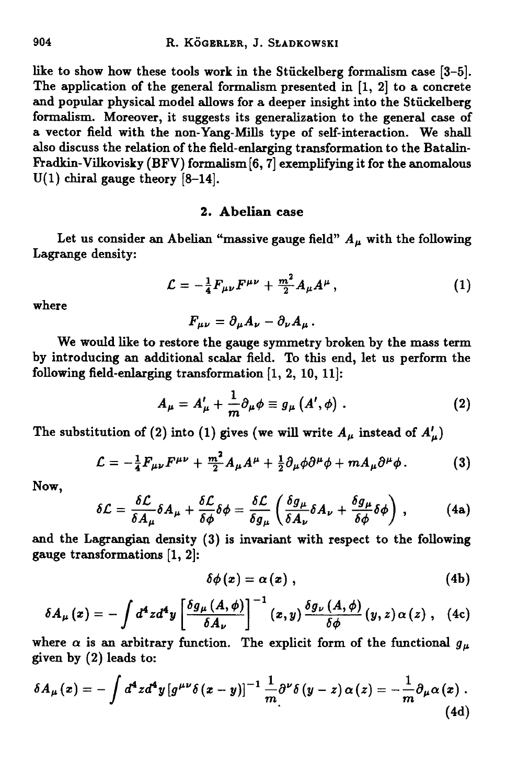**like to show how these tools work in the Stuckelberg formalism case [3-5]. The application of the general formalism presented in [1, 2] to a concrete and popular physical model allows for a deeper insight into the Stuckelberg formalism. Moreover, it suggests its generalization to the general case of a vector field with the non-Yang-Mills type of self-interaction. We shall also discuss the relation of the field-enlarging transformation to the Batalin-Fradkin-Vilkovisky (BFV) formalism [**6**, 7] exemplifying it for the anomalous**  $U(1)$  chiral gauge theory  $[8-14]$ .

## 2. Abelian case

Let us consider an Abelian "massive gauge field"  $A_\mu$  with the following **Lagrange density:**

$$
\mathcal{L} = -\frac{1}{4} F_{\mu\nu} F^{\mu\nu} + \frac{m^2}{2} A_{\mu} A^{\mu} , \qquad (1)
$$

**where**

$$
F_{\mu\nu}=\partial_{\mu}A_{\nu}-\partial_{\nu}A_{\mu}.
$$

**We would like to restore the gauge symmetry broken by the mass term by introducing an additional scalar field. To this end, let us perform the** following field-enlarging transformation  $[1, 2, 10, 11]$ :

$$
A_{\mu} = A'_{\mu} + \frac{1}{m} \partial_{\mu} \phi \equiv g_{\mu} (A', \phi) . \qquad (2)
$$

The substitution of (2) into (1) gives (we will write  $A_{\mu}$  instead of  $A'_{\mu}$ )

$$
\mathcal{L} = -\frac{1}{4}F_{\mu\nu}F^{\mu\nu} + \frac{m^2}{2}A_{\mu}A^{\mu} + \frac{1}{2}\partial_{\mu}\phi\partial^{\mu}\phi + mA_{\mu}\partial^{\mu}\phi. \tag{3}
$$

**Now,**

$$
\delta \mathcal{L} = \frac{\delta \mathcal{L}}{\delta A_{\mu}} \delta A_{\mu} + \frac{\delta \mathcal{L}}{\delta \phi} \delta \phi = \frac{\delta \mathcal{L}}{\delta g_{\mu}} \left( \frac{\delta g_{\mu}}{\delta A_{\nu}} \delta A_{\nu} + \frac{\delta g_{\mu}}{\delta \phi} \delta \phi \right) , \qquad (4a)
$$

**and the Lagrangian density (3) is invariant with respect to the following gauge transformations [**1 **,** 2**]:**

$$
\delta\phi(x)=\alpha(x)\,,\qquad (4b)
$$

$$
\delta A_{\mu}(x) = -\int d^4 z d^4 y \left[ \frac{\delta g_{\mu}(A, \phi)}{\delta A_{\nu}} \right]^{-1}(x, y) \frac{\delta g_{\nu}(A, \phi)}{\delta \phi}(y, z) \alpha(z) , \quad (4c)
$$

where  $\alpha$  is an arbitrary function. The explicit form of the functional  $g_{\mu}$ **given by (**2 **) leads to:**

$$
\delta A_{\mu}(x) = -\int d^4z d^4y \left[g^{\mu\nu}\delta(x-y)\right]^{-1} \frac{1}{m} \partial^{\nu}\delta(y-z) \alpha(z) = -\frac{1}{m} \partial_{\mu}\alpha(x) . \tag{4d}
$$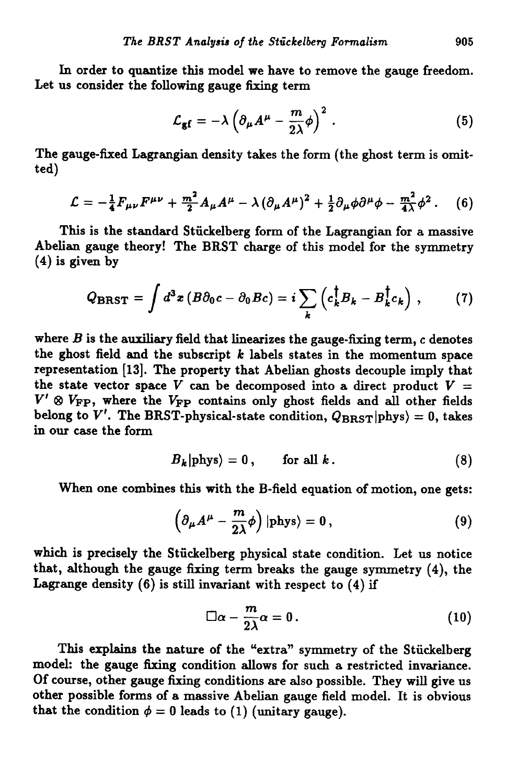**In order to quantize this model we have to remove the gauge freedom. Let us consider the following gauge** fixing **term**

$$
\mathcal{L}_{\mathbf{g}\mathbf{f}} = -\lambda \left( \partial_{\mu} A^{\mu} - \frac{m}{2\lambda} \phi \right)^2. \tag{5}
$$

<span id="page-3-0"></span>The gauge-fixed Lagrangian density takes the form (the ghost term is omit**ted)**

$$
\mathcal{L} = -\frac{1}{4}F_{\mu\nu}F^{\mu\nu} + \frac{m^2}{2}A_{\mu}A^{\mu} - \lambda(\partial_{\mu}A^{\mu})^2 + \frac{1}{2}\partial_{\mu}\phi\partial^{\mu}\phi - \frac{m^2}{4\lambda}\phi^2. \quad (6)
$$

**This is the standard Stuckelberg form of the Lagrangian for a massive Abelian gauge theory! The BRST charge of this model for the symmetry (4) is given by**

$$
Q_{\rm BRST} = \int d^3x \left( B \partial_0 c - \partial_0 B c \right) = i \sum_k \left( c_k^\dagger B_k - B_k^\dagger c_k \right) , \qquad (7)
$$

**where** *B* **is the auxiliary field that linearizes the gauge-fixing term, c denotes the ghost field and the subscript** *k* **labels states in the momentum space representation [13]. The property that Abelian ghosts decouple imply that** the state vector space  $V$  can be decomposed into a direct product  $V =$  $V' \otimes V_{\text{FP}}$ , where the  $V_{\text{FP}}$  contains only ghost fields and all other fields belong to  $V'$ . The BRST-physical-state condition,  $Q_{BRST}|phys\rangle = 0$ , takes **in our case the form**

$$
B_k | \text{phys} \rangle = 0, \quad \text{for all } k. \tag{8}
$$

When one combines this with the B-field equation of motion, one gets:

$$
\left(\partial_{\mu}A^{\mu}-\frac{m}{2\lambda}\phi\right)|\text{phys}\rangle=0,
$$
\n(9)

**which is precisely the Stuckelberg physical state condition. Let us notice that, although the gauge fixing term breaks the gauge symmetry (4), the** Lagrange density  $(6)$  is still invariant with respect to  $(4)$  if

$$
\Box \alpha - \frac{m}{2\lambda} \alpha = 0. \qquad (10)
$$

**This explains the nature of the "extra" symmetry of the Stuckelberg model: the gauge fixing condition allows for such a restricted invariance. Of course, other gauge fixing conditions are also possible. They will give us other possible forms of a massive Abelian gauge field model. It is obvious** that the condition  $\phi = 0$  leads to (1) (unitary gauge).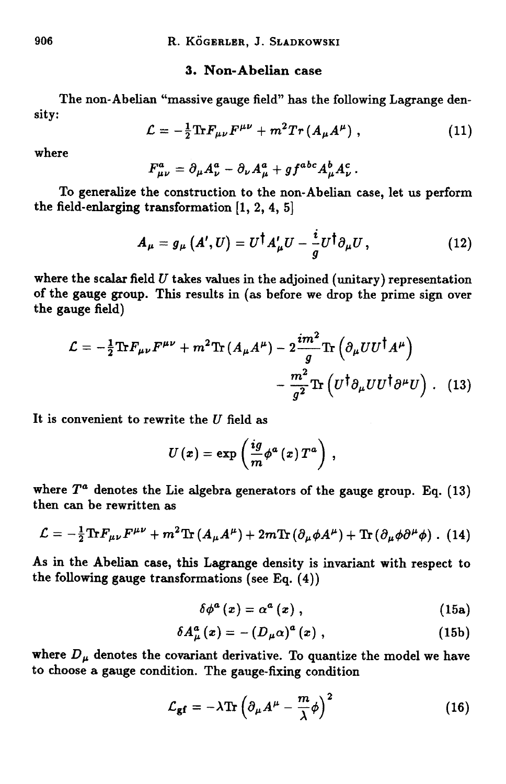## **3. Non-Abelian case**

**The non-Abelian "massive gauge field" has the following Lagrange density:**

$$
\mathcal{L} = -\frac{1}{2} \text{Tr} F_{\mu\nu} F^{\mu\nu} + m^2 Tr (A_{\mu} A^{\mu}) \,, \tag{11}
$$

**where**

$$
F^a_{\mu\nu} = \partial_\mu A^a_\nu - \partial_\nu A^a_\mu + g f^{abc} A^b_\mu A^c_\nu.
$$

**To generalize the construction to the non-Abelian case, let us perform the field-enlarging transformation [1, 2, 4, 5]**

$$
A_{\mu} = g_{\mu} (A', U) = U^{\dagger} A'_{\mu} U - \frac{i}{g} U^{\dagger} \partial_{\mu} U, \qquad (12)
$$

**where the scalar field** *U* **takes values in the adjoined (unitary) representation of the gauge group. This results in (as before we drop the prime sign over the gauge field)**

$$
\mathcal{L} = -\frac{1}{2} \text{Tr} F_{\mu\nu} F^{\mu\nu} + m^2 \text{Tr} \left( A_{\mu} A^{\mu} \right) - 2 \frac{im^2}{g} \text{Tr} \left( \partial_{\mu} U U^{\dagger} A^{\mu} \right) - \frac{m^2}{g^2} \text{Tr} \left( U^{\dagger} \partial_{\mu} U U^{\dagger} \partial^{\mu} U \right) . \tag{13}
$$

**It is convenient to rewrite the** *U* **field as**

$$
U\left( x\right) =\exp\left( \frac{ig}{m}\phi^{a}\left( x\right) T^{a}\right) \,,
$$

where  $T^a$  denotes the Lie algebra generators of the gauge group. Eq.  $(13)$ **then can be rewritten as**

$$
\mathcal{L} = -\frac{1}{2} \text{Tr} F_{\mu\nu} F^{\mu\nu} + m^2 \text{Tr} \left( A_{\mu} A^{\mu} \right) + 2 m \text{Tr} \left( \partial_{\mu} \phi A^{\mu} \right) + \text{Tr} \left( \partial_{\mu} \phi \partial^{\mu} \phi \right) . \tag{14}
$$

**As in the Abelian case, this Lagrange density is invariant with respect to the following gauge transformations (see Eq. (4))**

$$
\delta\phi^{a}\left(x\right)=\alpha^{a}\left(x\right),\qquad \qquad (15a)
$$

$$
\delta A_{\mu}^{a}(x) = -\left(D_{\mu}\alpha\right)^{a}(x) , \qquad (15b)
$$

where  $D_{\mu}$  denotes the covariant derivative. To quantize the model we have **to choose a gauge condition. The gauge-fixing condition**

$$
\mathcal{L}_{\mathbf{gf}} = -\lambda \text{Tr} \left( \partial_{\mu} A^{\mu} - \frac{m}{\lambda} \phi \right)^2 \tag{16}
$$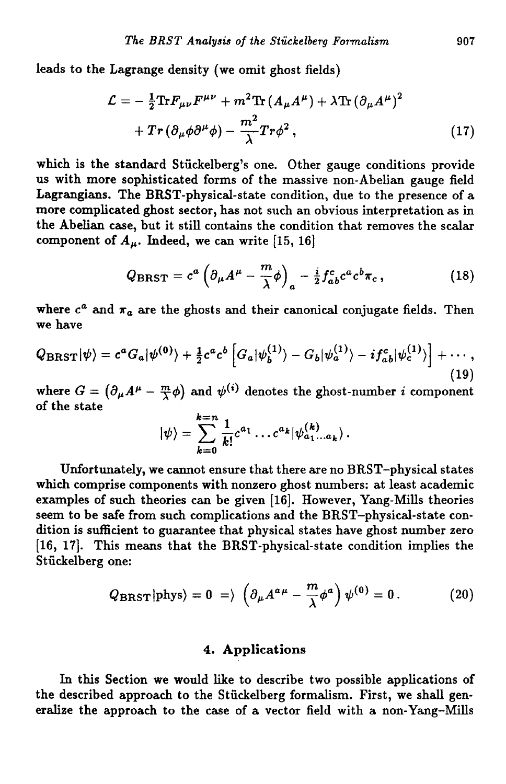**leads to the Lagrange density (we omit ghost fields)**

$$
\mathcal{L} = -\frac{1}{2} \text{Tr} F_{\mu\nu} F^{\mu\nu} + m^2 \text{Tr} \left( A_{\mu} A^{\mu} \right) + \lambda \text{Tr} \left( \partial_{\mu} A^{\mu} \right)^2 + Tr \left( \partial_{\mu} \phi \partial^{\mu} \phi \right) - \frac{m^2}{\lambda} Tr \phi^2 , \qquad (17)
$$

**which is the standard Stuckelberg's one. Other gauge conditions provide us with more sophisticated forms of the massive non-Abelian gauge field Lagrangians. The BRST-physical-state condition, due to the presence of a more complicated ghost sector, has not such an obvious interpretation as in the Abelian case, but it still contains the condition that removes the scalar** component of  $A_\mu$ . Indeed, we can write [15, 16]

$$
Q_{\rm BRST} = c^a \left( \partial_\mu A^\mu - \frac{m}{\lambda} \phi \right)_a - \frac{i}{2} f_{ab}^c c^a c^b \pi_c \,, \tag{18}
$$

where  $c^a$  and  $\pi_a$  are the ghosts and their canonical conjugate fields. Then **we have**

$$
Q_{\text{BRST}}|\psi\rangle = c^a G_a|\psi^{(0)}\rangle + \frac{1}{2}c^a c^b \left[ G_a|\psi_b^{(1)}\rangle - G_b|\psi_a^{(1)}\rangle - i f_{ab}^c |\psi_c^{(1)}\rangle \right] + \cdots,
$$
\n(19)

where  $G = (\partial_{\mu}A^{\mu} - \frac{m}{\lambda}\phi)$  and  $\psi^{(i)}$  denotes the ghost-number *i* component **of the state**

$$
|\psi\rangle = \sum_{k=0}^{k=n} \frac{1}{k!} c^{a_1} \dots c^{a_k} |\psi_{a_1...a_k}^{(k)}\rangle.
$$

**Unfortunately, we cannot ensure that there are no BRST-physical states which comprise components with nonzero ghost numbers: at least academic examples of such theories can be given [16]. However, Yang-Mills theories seem to be safe from such complications and the BRST-physical-state condition is sufficient to guarantee that physical states have ghost number zero [16, 17]. This means that the BRST-physical-state condition implies the Stuckelberg one:**

$$
Q_{\text{BRST}}|\text{phys}\rangle = 0 \Rightarrow \left(\partial_{\mu}A^{a\mu} - \frac{m}{\lambda}\phi^{a}\right)\psi^{(0)} = 0. \tag{20}
$$

## **4. Applications**

**In this Section we would like to describe two possible applications of the described approach to the Stuckelberg formalism. First, we shall generalize the approach to the case of a vector field with a non-Yang-Mills**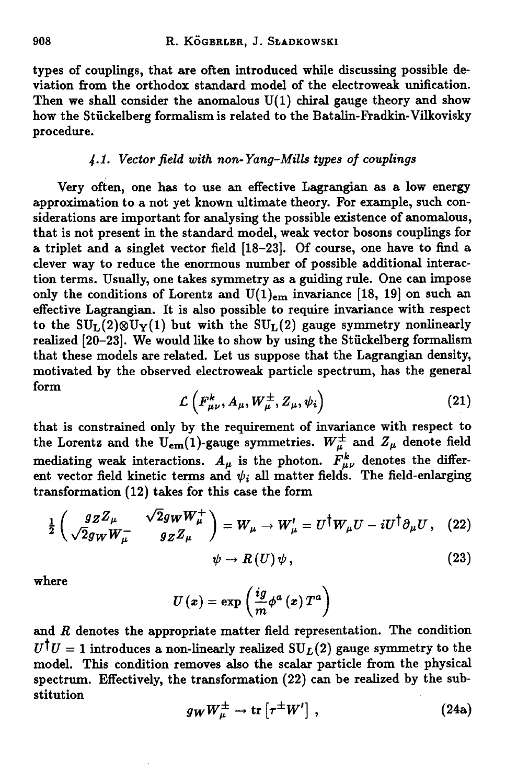**types of couplings, that are often introduced while discussing possible deviation from the orthodox standard model of the electroweak unification.** Then we shall consider the anomalous  $U(1)$  chiral gauge theory and show **how the Stuckelberg formalism is related to the Batalin-Fradkin-Vilkovisky procedure.**

## *4-1. Vector field with non-Yang-Mills types of couplings*

**Very often, one has to use an effective Lagrangian as a low energy** approximation to a not yet known ultimate theory. For example, such con**siderations are important for analysing the possible existence of anomalous, that is not present in the standard model, weak vector bosons couplings for a triplet and a singlet vector field [18-23]. Of course, one have to find a clever way to reduce the enormous number of possible additional interaction terms. Usually, one takes symmetry as a guiding rule. One cam impose** only the conditions of Lorentz and  $U(1)_{em}$  invariance [18, 19] on such an **effective Lagrangian. It is also possible to require invariance with respect** to the  $SU_{L}(2)\otimes U_{Y}(1)$  but with the  $SU_{L}(2)$  gauge symmetry nonlinearly **realized [20-23]. We would like to show by using the Stuckelberg formalism that these models are related. Let us suppose that the Lagrangian density, motivated by the observed electroweak particle spectrum, has the general form**

$$
\mathcal{L}\left(F_{\mu\nu}^k, A_\mu, W_\mu^\pm, Z_\mu, \psi_i\right) \tag{21}
$$

**that is constrained only by the requirement of invariance with respect to** the Lorentz and the U<sub>em</sub>(1)-gauge symmetries.  $W^{\pm}_{\mu}$  and  $Z_{\mu}$  denote field mediating weak interactions.  $A_{\mu}$  is the photon.  $\overline{F}_{\mu\nu}^{k}$  denotes the different vector field kinetic terms and  $\psi_i$  all matter fields. The field-enlarging transformation (12) takes for this case the form

$$
\frac{1}{2}\begin{pmatrix} g_Z Z_\mu & \sqrt{2} g_W W_\mu^+ \\ \sqrt{2} g_W W_\mu^- & g_Z Z_\mu \end{pmatrix} = W_\mu \rightarrow W_\mu' = U^\dagger W_\mu U - i U^\dagger \partial_\mu U \,, \tag{22}
$$

$$
\psi \to R\left(U\right)\psi\,,\tag{23}
$$

**where**

$$
U\left(\boldsymbol{x}\right)=\exp\left(\frac{ig}{m}\phi^{a}\left(\boldsymbol{x}\right)T^{a}\right)
$$

**and** *R* **denotes the appropriate matter field representation. The condition**  $U^{\dagger}U = 1$  introduces a non-linearly realized  $SU_L(2)$  gauge symmetry to the **model. This condition removes also the scalar particle from the physical spectrum. Effectively, the transformation (22) cam be realized by the substitution**

$$
g_W W^{\pm}_{\mu} \to \text{tr}\left[\tau^{\pm} W'\right] \,, \tag{24a}
$$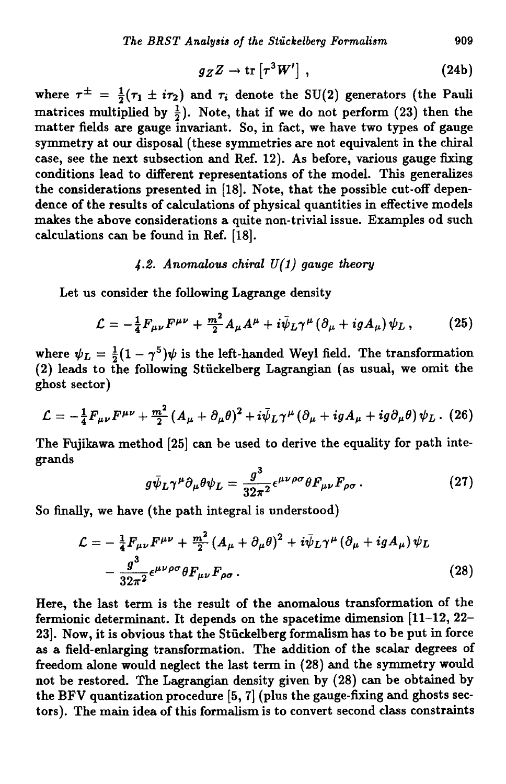$$
g_Z Z \to \text{tr}\left[\tau^3 W'\right] \,,\tag{24b}
$$

where  $\tau^{\pm} = \frac{1}{2}(\tau_1 \pm i\tau_2)$  and  $\tau_i$  denote the SU(2) generators (the Pauli matrices multiplied by  $\frac{1}{2}$ ). Note, that if we do not perform (23) then the **m atter fields are gauge invariant. So, in fact, we have two types of gauge symmetry at our disposal (these symmetries are not equivalent in the chiral case, see the next subsection and Ref. 12). As before, various gauge fixing conditions lead to different representations of the model. This generalizes the considerations presented in [18]. Note, that the possible cut-off dependence of the results of calculations of physical quantities in effective models makes the above considerations a quite non-trivial issue. Examples od such calculations can be found in Ref. [18].**

## *4-2. Anomalous chiral U(l) gauge theory*

**Let us consider the following Lagrange density**

$$
\mathcal{L} = -\frac{1}{4}F_{\mu\nu}F^{\mu\nu} + \frac{m^2}{2}A_{\mu}A^{\mu} + i\bar{\psi}_L\gamma^{\mu}(\partial_{\mu} + igA_{\mu})\psi_L, \qquad (25)
$$

where  $\psi_L = \frac{1}{2}(1 - \gamma^5)\psi$  is the left-handed Weyl field. The transformation **(2) leads to the following Stuckelberg Lagrangian (as usual, we omit the ghost sector)**

$$
\mathcal{L}=-\frac{1}{4}F_{\mu\nu}F^{\mu\nu}+\frac{m^2}{2}(A_{\mu}+\partial_{\mu}\theta)^2+i\bar{\psi}_L\gamma^{\mu}(\partial_{\mu}+igA_{\mu}+ig\partial_{\mu}\theta)\psi_L. (26)
$$

The Fujikawa method [25] can be used to derive the equality for path inte**grands**

$$
g\bar{\psi}_L\gamma^\mu\partial_\mu\theta\psi_L=\frac{g^3}{32\pi^2}\epsilon^{\mu\nu\rho\sigma}\theta F_{\mu\nu}F_{\rho\sigma}.
$$
 (27)

**So finally, we have (the path integral is understood)**

$$
\mathcal{L} = -\frac{1}{4} F_{\mu\nu} F^{\mu\nu} + \frac{m^2}{2} (A_{\mu} + \partial_{\mu} \theta)^2 + i \bar{\psi}_L \gamma^{\mu} (\partial_{\mu} + i g A_{\mu}) \psi_L - \frac{g^3}{32\pi^2} \epsilon^{\mu\nu\rho\sigma} \theta F_{\mu\nu} F_{\rho\sigma}.
$$
 (28)

**Here, the last term is the result of the anomalous transformation of the fermionic determinant. It depends on the spacetime dimension [11-12, 22- 23]. Now, it is obvious that the Stuckelberg formalism has to be put in force as a field-enlarging transformation. The addition of the scalar degrees of freedom alone would neglect the last term in (28) and the symmetry would not be restored. The Lagrangian density given by (28) cam be obtained by the BFV quantization procedure [5, 7] (plus the gauge-fixing and ghosts sectors). The main idea of this formalism is to convert second class constraints**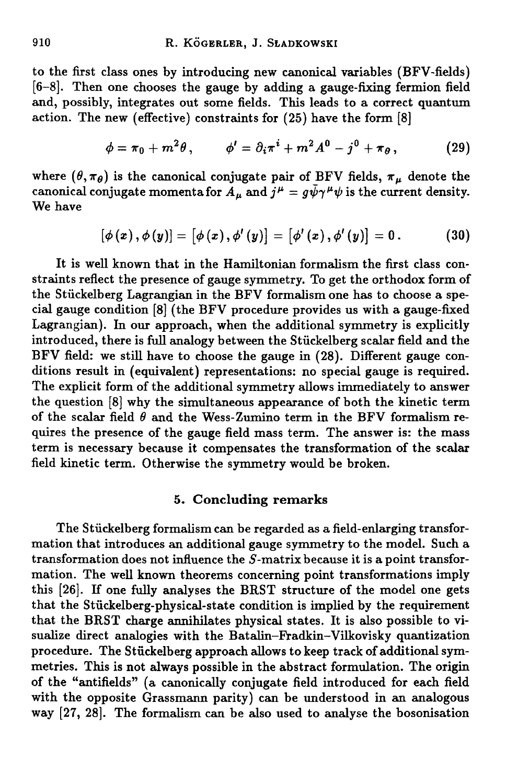**to the first class ones by introducing new canonical variables (BFV-fields) [**6**-** 8**]. Then one chooses the gauge by adding a gauge-fixing fermion field and, possibly, integrates out some fields. This leads to a correct quantum action. The new (effective) constraints for (25) have the form [**8**]**

$$
\phi = \pi_0 + m^2 \theta, \qquad \phi' = \partial_i \pi^i + m^2 A^0 - j^0 + \pi_\theta, \qquad (29)
$$

where  $(\theta, \pi_{\theta})$  is the canonical conjugate pair of BFV fields,  $\pi_{\mu}$  denote the  $\alpha$  canonical conjugate momenta for  $A_\mu$  and  $j^\mu = g\psi\gamma^\mu\psi$  is the current density. **We have**

$$
[\phi(x), \phi(y)] = [\phi(x), \phi'(y)] = [\phi'(x), \phi'(y)] = 0.
$$
 (30)

**It is well known that in the Hamiltonian formalism the first class constraints reflect the presence of gauge symmetry. To get the orthodox form of the Stiickelberg Lagrangian in the BFV formalism one has to choose a special gauge condition [**8**] (the BFV procedure provides us with a gauge-fixed Lagrangian). In our approach, when the additional symmetry is explicitly introduced, there is full analogy between the Stiickelberg scalar field and the BFV field: we still have to choose the gauge in (28). Different gauge conditions result in (equivalent) representations: no special gauge is required. The explicit form of the additional symmetry allows immediately to answer the question [**8**] why the simultaneous appearance of both the kinetic term** of the scalar field  $\theta$  and the Wess-Zumino term in the BFV formalism re**quires the presence of the gauge field mass term. The answer is: the mass term is necessary because it compensates the transformation of the scalar field kinetic term. Otherwise the symmetry would be broken.**

## **5. Concluding remarks**

**The Stiickelberg formalism can be regarded as a field-enlarging transform ation that introduces an additional gauge symmetry to the model. Such a** transformation does not influence the S-matrix because it is a point transfor**mation. The well known theorems concerning point transformations imply this [26]. If one fully analyses the BRST structure of the model one gets that the Stiickelberg-physical-state condition is implied by the requirement that the BRST charge annihilates physical states. It is also possible to visualize direct analogies with the Batalin-Fradkin-Vilkovisky quantization procedure. The Stiickelberg approach allows to keep track of additional symmetries. This is not always possible in the abstract formulation. The origin of the "antifields" (a canonically conjugate field introduced for each field with the opposite Grassmann parity) can be understood in an analogous way [27, 28]. The formalism can be also used to analyse the bosonisation**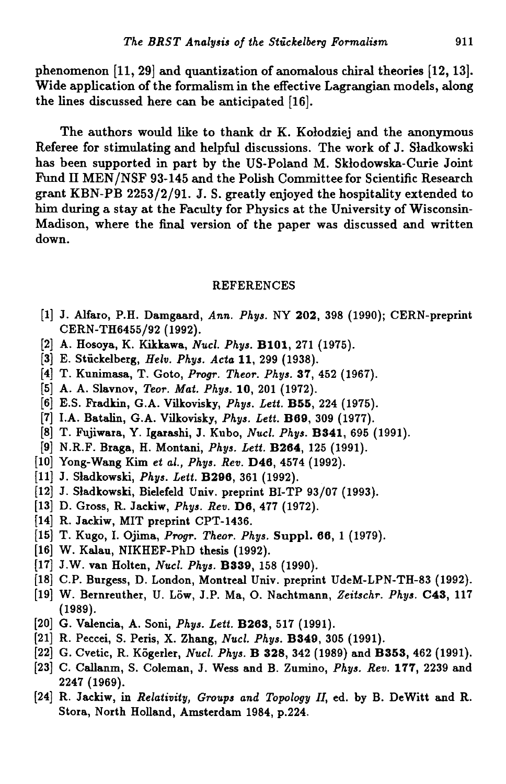**phenomenon [11, 29] and quantization of anomalous chiral theories [12,13]. Wide application of the formalism in the effective Lagrangian models, along the lines discussed here can be anticipated [16].**

**The authors would like to thank dr K. Kołodziej and the anonymous Referee for stimulating and helpful discussions. The work of J. Sladkowski has been supported in part by the US-Poland M. Skłodowska-Curie Joint** Fund II MEN/NSF 93-145 and the Polish Committee for Scientific Research **grant KBN-PB 2253/2/91. J. S. greatly enjoyed the hospitality extended to him during a stay at the Faculty for Physics at the University of Wisconsin-Madison, where the final version of the paper was discussed and written down.**

#### **REFERENCES**

- **[1] J. Alfaro, P.H. Damgaard,** *Ann. Phys.* **NY 202, 398 (1990); CERN-preprint CERN-TH6455/92 (1992).**
- **[2] A. Hosoya, K. Kikkawa,** *Nucl. Phys.* **B101, 271 (1975).**
- **[3] E. Stuckelberg,** *Helv. Phys. Acta* **11, 299 (1938).**
- **[4] T. Kunimasa, T. Goto,** *Progr. Theor. Phys.* **37, 452 (1967).**
- **[5] A. A. Slavnov,** *Teor. Mat. Phys.* **10, 201 (1972).**
- **[6] E.S. Fradkin, G.A. Vilkovisky,** *Phys. Lett.* **B55, 224 (1975).**
- **[7] I.A. Batalin, G.A. Vilkovisky,** *Phys. Lett.* **B09, 309 (1977).**
- **[8] T. Fujiwara, Y. Igarashi, J. Kubo,** *Nucl. Phys.* **B341, 695 (1991).**
- **[9] N.R.F. Braga, H. Montani,** *Phys. Lett.* **B264, 125 (1991).**
- **[10] Yong-Wang Kim** *et al., Phys. Rev.* **D46, 4574 (1992).**
- **[11] J. Sladkowski,** *Phys. Lett.* **B296, 361 (1992).**
- **[12] J. Sladkowski, Bielefeld Univ. preprint BI-TP 93/07 (1993).**
- **[13] D. Gross, R. Jackiw,** *Phys. Rev.* **D6, 477 (1972).**
- **[14] R. Jackiw, MIT preprint CPT-1436.**
- **[15] T. Kugo, I. Ojima,** *Progr. Theor. Phys.* **Suppl. 06, 1 (1979).**
- **[16] W. Kalau, NIKHEF-PhD thesis (1992).**
- **[17] J.W. van Holten,** *Nucl. Phys.* **B339, 158 (1990).**
- **[18] C.P. Burgess, D. London, Montreal Univ. preprint UdeM-LPN-TH-83 (1992).**
- **[19] W. Bernreuther, U. Löw, J.P. Ma, O. Nachtmann,** *Zeitschr. Phys.* **C43, 117 (1989).**
- **[20] G. Valencia, A. Soni,** *Phys. Lett.* **B263, 517 (1991).**
- **[21] R. Peccei, S. Peris, X. Zhang,** *Nucl. Phys.* **B349, 305 (1991).**
- **[22] G. Cvetic, R. Kögerler,** *Nucl. Phys.* **B 328, 342 (1989) and B353, 462 (1991).**
- **[23] C. Callanm, S. Coleman, J. Wess and B. Zumino,** *Phys. Rev.* **177, 2239 and 2247 (1969).**
- **[24] R. Jackiw, in** *Relativity, Groups and Topology II,* **ed. by B. DeWitt and R. Stora, North Holland, Amsterdam 1984, p.224.**